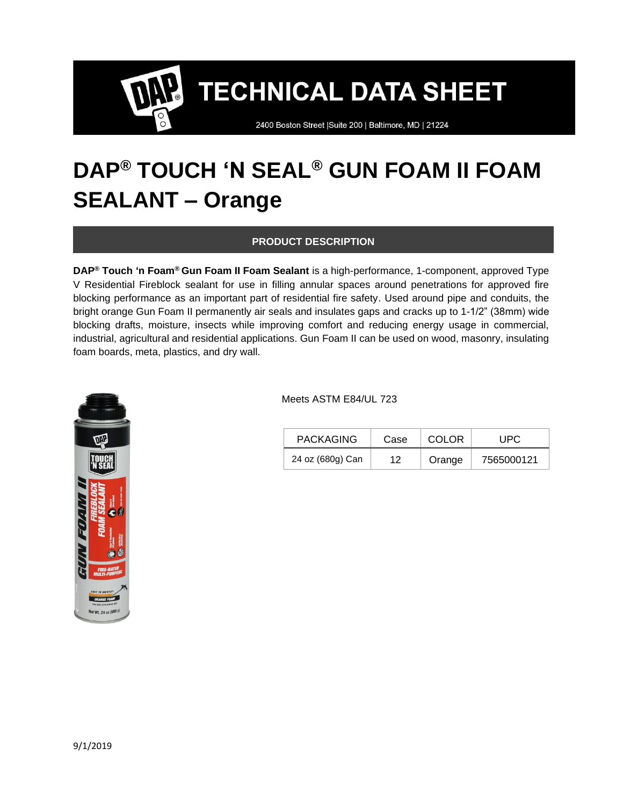2400 Boston Street | Suite 200 | Baltimore, MD | 21224

### **DAP® TOUCH 'N SEAL® GUN FOAM II FOAM SEALANT – Orange**

#### **PRODUCT DESCRIPTION**

**DAP® Touch 'n Foam® Gun Foam II Foam Sealant** is a high-performance, 1-component, approved Type V Residential Fireblock sealant for use in filling annular spaces around penetrations for approved fire blocking performance as an important part of residential fire safety. Used around pipe and conduits, the bright orange Gun Foam II permanently air seals and insulates gaps and cracks up to 1-1/2" (38mm) wide blocking drafts, moisture, insects while improving comfort and reducing energy usage in commercial, industrial, agricultural and residential applications. Gun Foam II can be used on wood, masonry, insulating foam boards, meta, plastics, and dry wall.



Meets ASTM E84/UL 723

| <b>PACKAGING</b> | Case | COLOR  | UPC.       |
|------------------|------|--------|------------|
| 24 oz (680g) Can | 12   | Orange | 7565000121 |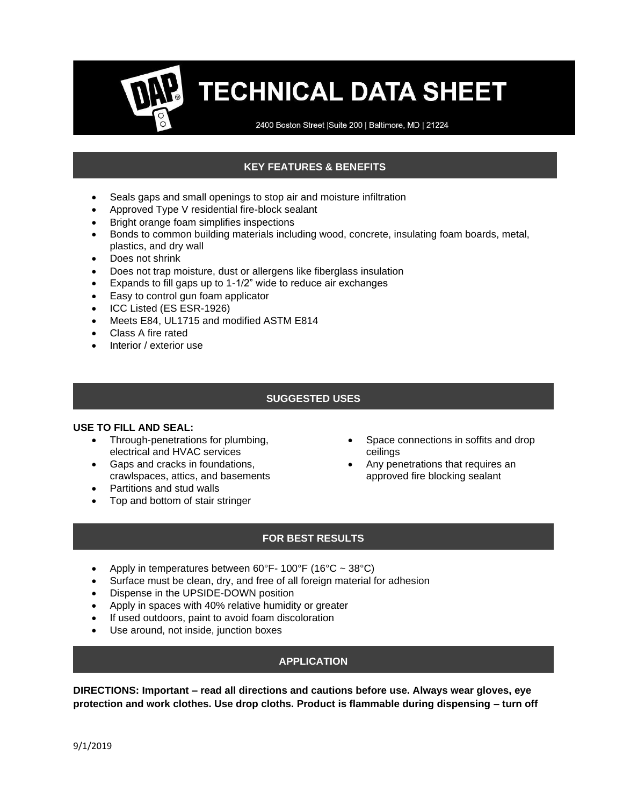2400 Boston Street | Suite 200 | Baltimore, MD | 21224

### **KEY FEATURES & BENEFITS**

- Seals gaps and small openings to stop air and moisture infiltration
- Approved Type V residential fire-block sealant
- Bright orange foam simplifies inspections
- Bonds to common building materials including wood, concrete, insulating foam boards, metal, plastics, and dry wall
- Does not shrink
- Does not trap moisture, dust or allergens like fiberglass insulation
- Expands to fill gaps up to 1-1/2" wide to reduce air exchanges
- Easy to control gun foam applicator
- ICC Listed (ES ESR-1926)
- Meets E84, UL1715 and modified ASTM E814
- Class A fire rated
- Interior / exterior use

#### **SUGGESTED USES**

#### **USE TO FILL AND SEAL:**

- Through-penetrations for plumbing, electrical and HVAC services
- Gaps and cracks in foundations, crawlspaces, attics, and basements
- Partitions and stud walls
- Top and bottom of stair stringer
- Space connections in soffits and drop ceilings
- Any penetrations that requires an approved fire blocking sealant

#### **FOR BEST RESULTS**

- Apply in temperatures between  $60^{\circ}$ F- 100°F (16°C ~ 38°C)
- Surface must be clean, dry, and free of all foreign material for adhesion
- Dispense in the UPSIDE-DOWN position
- Apply in spaces with 40% relative humidity or greater
- If used outdoors, paint to avoid foam discoloration
- Use around, not inside, junction boxes

#### **APPLICATION**

**DIRECTIONS: Important – read all directions and cautions before use. Always wear gloves, eye protection and work clothes. Use drop cloths. Product is flammable during dispensing – turn off**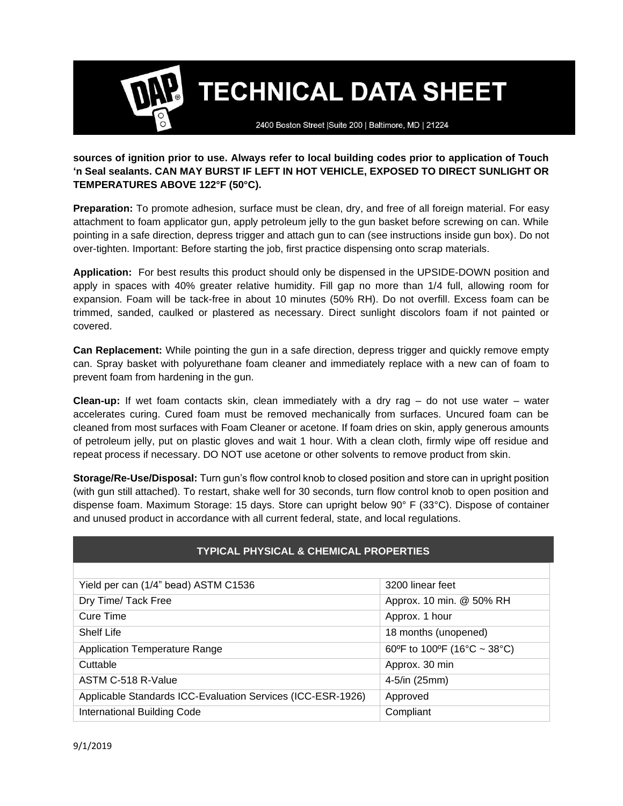2400 Boston Street | Suite 200 | Baltimore, MD | 21224

#### **sources of ignition prior to use. Always refer to local building codes prior to application of Touch 'n Seal sealants. CAN MAY BURST IF LEFT IN HOT VEHICLE, EXPOSED TO DIRECT SUNLIGHT OR TEMPERATURES ABOVE 122°F (50°C).**

**Preparation:** To promote adhesion, surface must be clean, dry, and free of all foreign material. For easy attachment to foam applicator gun, apply petroleum jelly to the gun basket before screwing on can. While pointing in a safe direction, depress trigger and attach gun to can (see instructions inside gun box). Do not over-tighten. Important: Before starting the job, first practice dispensing onto scrap materials.

**Application:** For best results this product should only be dispensed in the UPSIDE-DOWN position and apply in spaces with 40% greater relative humidity. Fill gap no more than 1/4 full, allowing room for expansion. Foam will be tack-free in about 10 minutes (50% RH). Do not overfill. Excess foam can be trimmed, sanded, caulked or plastered as necessary. Direct sunlight discolors foam if not painted or covered.

**Can Replacement:** While pointing the gun in a safe direction, depress trigger and quickly remove empty can. Spray basket with polyurethane foam cleaner and immediately replace with a new can of foam to prevent foam from hardening in the gun.

**Clean-up:** If wet foam contacts skin, clean immediately with a dry rag – do not use water – water accelerates curing. Cured foam must be removed mechanically from surfaces. Uncured foam can be cleaned from most surfaces with Foam Cleaner or acetone. If foam dries on skin, apply generous amounts of petroleum jelly, put on plastic gloves and wait 1 hour. With a clean cloth, firmly wipe off residue and repeat process if necessary. DO NOT use acetone or other solvents to remove product from skin.

**Storage/Re-Use/Disposal:** Turn gun's flow control knob to closed position and store can in upright position (with gun still attached). To restart, shake well for 30 seconds, turn flow control knob to open position and dispense foam. Maximum Storage: 15 days. Store can upright below 90° F (33°C). Dispose of container and unused product in accordance with all current federal, state, and local regulations.

| <b>TYPICAL PHYSICAL &amp; CHEMICAL PROPERTIES</b>           |                             |  |  |
|-------------------------------------------------------------|-----------------------------|--|--|
|                                                             |                             |  |  |
| Yield per can (1/4" bead) ASTM C1536                        | 3200 linear feet            |  |  |
| Dry Time/ Tack Free                                         | Approx. 10 min. @ 50% RH    |  |  |
| Cure Time                                                   | Approx. 1 hour              |  |  |
| <b>Shelf Life</b>                                           | 18 months (unopened)        |  |  |
| <b>Application Temperature Range</b>                        | 60°F to 100°F (16°C ~ 38°C) |  |  |
| Cuttable                                                    | Approx. 30 min              |  |  |
| ASTM C-518 R-Value                                          | $4 - 5/in (25mm)$           |  |  |
| Applicable Standards ICC-Evaluation Services (ICC-ESR-1926) | Approved                    |  |  |
| <b>International Building Code</b>                          | Compliant                   |  |  |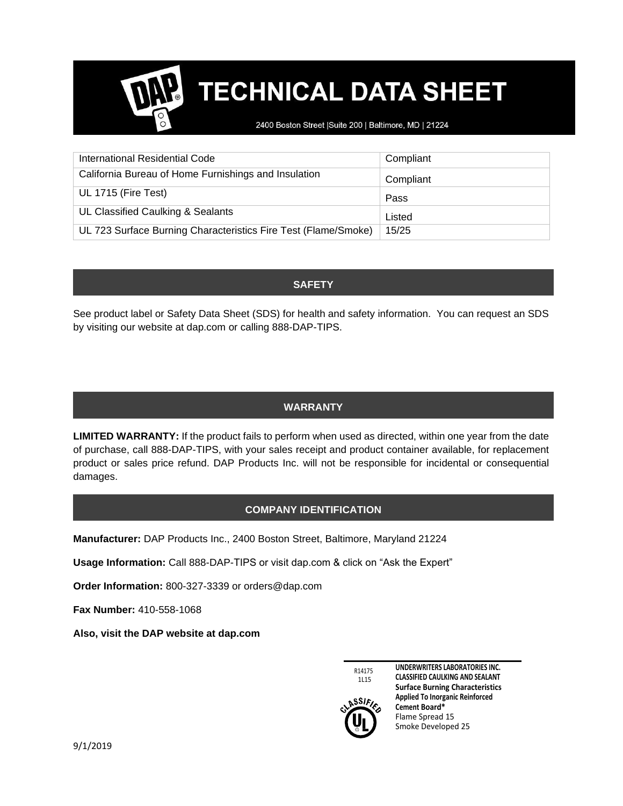2400 Boston Street | Suite 200 | Baltimore, MD | 21224

| International Residential Code                                 | Compliant |
|----------------------------------------------------------------|-----------|
| California Bureau of Home Furnishings and Insulation           | Compliant |
| UL 1715 (Fire Test)                                            | Pass      |
| UL Classified Caulking & Sealants                              | Listed    |
| UL 723 Surface Burning Characteristics Fire Test (Flame/Smoke) | 15/25     |

#### **SAFETY**

See product label or Safety Data Sheet (SDS) for health and safety information. You can request an SDS by visiting our website at dap.com or calling 888-DAP-TIPS.

#### **WARRANTY**

**LIMITED WARRANTY:** If the product fails to perform when used as directed, within one year from the date of purchase, call 888-DAP-TIPS, with your sales receipt and product container available, for replacement product or sales price refund. DAP Products Inc. will not be responsible for incidental or consequential damages.

#### **COMPANY IDENTIFICATION**

**Manufacturer:** DAP Products Inc., 2400 Boston Street, Baltimore, Maryland 21224

**Usage Information:** Call 888-DAP-TIPS or visit dap.com & click on "Ask the Expert"

**Order Information:** 800-327-3339 or orders@dap.com

**Fax Number:** 410-558-1068

**Also, visit the DAP website at dap.com**



**UNDERWRITERS LABORATORIES INC. CLASSIFIED CAULKING AND SEALANT Surface Burning Characteristics Applied To Inorganic Reinforced Cement Board\*** Flame Spread 15 Smoke Developed 25